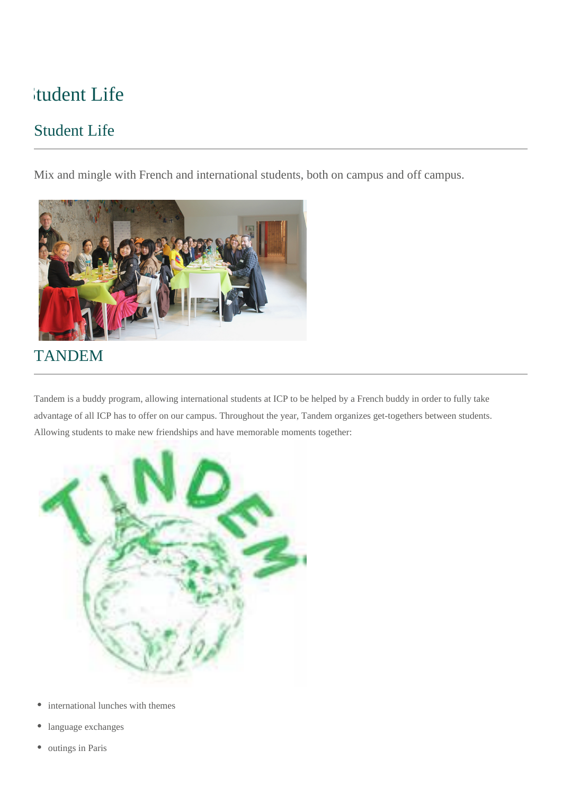# Student Life

## Student Life

Mix and mingle with French and international students, both on campus and off campus.



# TANDEM

Tandem is a buddy program, allowing international students at ICP to be helped by a French buddy in order to fully take advantage of all ICP has to offer on our campus. Throughout the year, Tandem organizes get-togethers between students. Allowing students to make new friendships and have memorable moments together:



- international lunches with themes  $\bullet$
- language exchanges
- outings in Paris